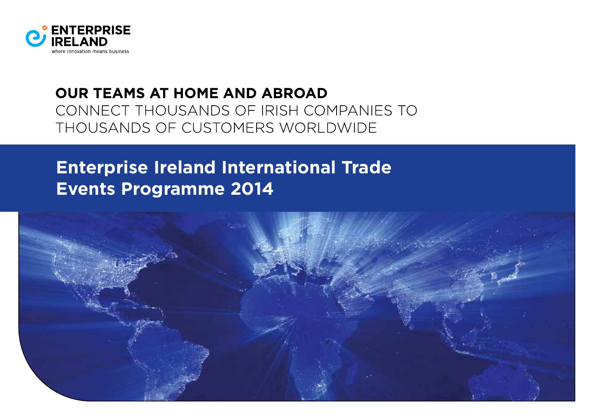

## **OUR TEAMS AT HOME AND ABROAD** CONNECT THOUSANDS OF IRISH COMPANIES TO THOUSANDS OF CUSTOMERS WORLDWIDE

# **Enterprise Ireland International Trade Events Programme 2014**

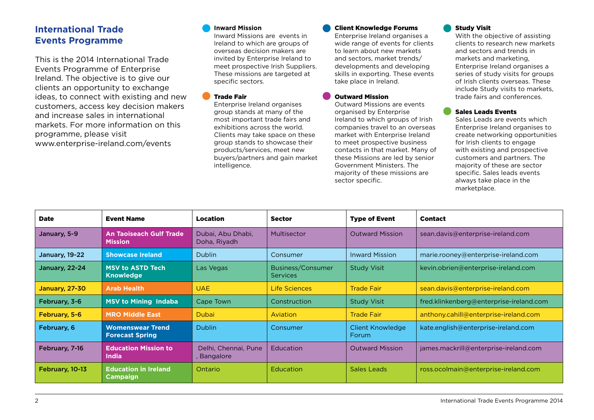### **International Trade Events Programme**

This is the 2014 International Trade Events Programme of Enterprise Ireland. The objective is to give our clients an opportunity to exchange ideas, to connect with existing and new customers, access key decision makers and increase sales in international markets. For more information on this programme, please visit www.enterprise-ireland.com/events

#### **Inward Mission**

Inward Missions are events in Ireland to which are groups of overseas decision makers are invited by Enterprise Ireland to meet prospective Irish Suppliers. These missions are targeted at specific sectors.

#### Trade Fair

Enterprise Ireland organises group stands at many of the most important trade fairs and exhibitions across the world. Clients may take space on these group stands to showcase their products/services, meet new buyers/partners and gain market intelligence.

#### Client Knowledge Forums

Enterprise Ireland organises a wide range of events for clients to learn about new markets and sectors, market trends/ developments and developing skills in exporting. These events take place in Ireland.

#### Outward Mission

Outward Missions are events organised by Enterprise Ireland to which groups of Irish companies travel to an overseas market with Enterprise Ireland to meet prospective business contacts in that market. Many of these Missions are led by senior Government Ministers. The majority of these missions are sector specific.

#### Study Visit

With the objective of assisting clients to research new markets and sectors and trends in markets and marketing, Enterprise Ireland organises a series of study visits for groups of Irish clients overseas. These include Study visits to markets, trade fairs and conferences.

#### Sales Leads Events

Sales Leads are events which Enterprise Ireland organises to create networking opportunities for Irish clients to engage with existing and prospective customers and partners. The majority of these are sector specific. Sales leads events always take place in the marketplace.

| <b>Date</b>           | <b>Event Name</b>                                 | Location                            | <b>Sector</b>                        | <b>Type of Event</b>             | <b>Contact</b>                          |
|-----------------------|---------------------------------------------------|-------------------------------------|--------------------------------------|----------------------------------|-----------------------------------------|
| January, 5-9          | <b>An Taoiseach Gulf Trade</b><br><b>Mission</b>  | Dubai, Abu Dhabi,<br>Doha, Riyadh   | Multisector                          | <b>Outward Mission</b>           | sean.davis@enterprise-ireland.com       |
| January, 19-22        | <b>Showcase Ireland</b>                           | <b>Dublin</b>                       | Consumer                             | <b>Inward Mission</b>            | marie.rooney@enterprise-ireland.com     |
| January, 22-24        | <b>MSV to ASTD Tech</b><br><b>Knowledge</b>       | Las Vegas                           | Business/Consumer<br><b>Services</b> | <b>Study Visit</b>               | kevin.obrien@enterprise-ireland.com     |
| <b>January, 27-30</b> | <b>Arab Health</b>                                | <b>UAE</b>                          | Life Sciences                        | <b>Trade Fair</b>                | sean.davis@enterprise-ireland.com       |
| February, 3-6         | <b>MSV to Mining Indaba</b>                       | Cape Town                           | Construction                         | <b>Study Visit</b>               | fred.klinkenberg@enterprise-ireland.com |
| February, 5-6         | <b>MRO Middle East</b>                            | <b>Dubai</b>                        | Aviation                             | <b>Trade Fair</b>                | anthony.cahill@enterprise-ireland.com   |
| February, 6           | <b>Womenswear Trend</b><br><b>Forecast Spring</b> | <b>Dublin</b>                       | Consumer                             | <b>Client Knowledge</b><br>Forum | kate.english@enterprise-ireland.com     |
| February, 7-16        | <b>Education Mission to</b><br><b>India</b>       | Delhi, Chennai, Pune<br>, Bangalore | Education                            | <b>Outward Mission</b>           | james.mackrill@enterprise-ireland.com   |
| February, 10-13       | <b>Education in Ireland</b><br><b>Campaign</b>    | Ontario                             | Education                            | <b>Sales Leads</b>               | ross.ocolmain@enterprise-ireland.com    |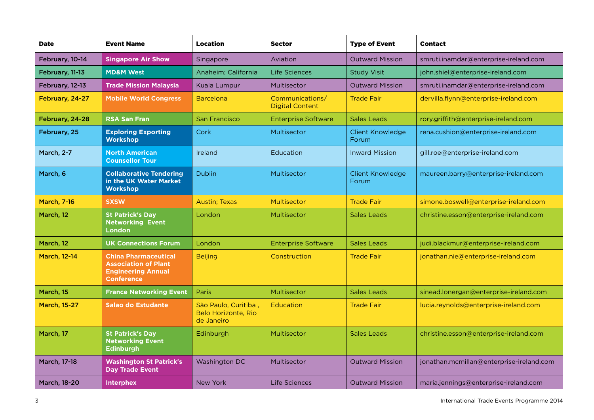| <b>Date</b>         | <b>Event Name</b>                                                                                            | <b>Location</b>                                                  | <b>Sector</b>                             | <b>Type of Event</b>             | <b>Contact</b>                           |
|---------------------|--------------------------------------------------------------------------------------------------------------|------------------------------------------------------------------|-------------------------------------------|----------------------------------|------------------------------------------|
| February, 10-14     | <b>Singapore Air Show</b>                                                                                    | Singapore                                                        | Aviation                                  | <b>Outward Mission</b>           | smruti.inamdar@enterprise-ireland.com    |
| February, 11-13     | <b>MD&amp;M West</b>                                                                                         | Anaheim: California                                              | Life Sciences                             | <b>Study Visit</b>               | john.shiel@enterprise-ireland.com        |
| February, 12-13     | <b>Trade Mission Malaysia</b>                                                                                | Kuala Lumpur                                                     | Multisector                               | <b>Outward Mission</b>           | smruti.inamdar@enterprise-ireland.com    |
| February, 24-27     | <b>Mobile World Congress</b>                                                                                 | <b>Barcelona</b>                                                 | Communications/<br><b>Digital Content</b> | <b>Trade Fair</b>                | dervilla.flynn@enterprise-ireland.com    |
| February, 24-28     | <b>RSA San Fran</b>                                                                                          | <b>San Francisco</b>                                             | <b>Enterprise Software</b>                | <b>Sales Leads</b>               | rory.griffith@enterprise-ireland.com     |
| February, 25        | <b>Exploring Exporting</b><br><b>Workshop</b>                                                                | Cork                                                             | Multisector                               | <b>Client Knowledge</b><br>Forum | rena.cushion@enterprise-ireland.com      |
| <b>March, 2-7</b>   | <b>North American</b><br><b>Counsellor Tour</b>                                                              | Ireland                                                          | Education                                 | <b>Inward Mission</b>            | gill.roe@enterprise-ireland.com          |
| March, 6            | <b>Collaborative Tendering</b><br>in the UK Water Market<br><b>Workshop</b>                                  | <b>Dublin</b>                                                    | Multisector                               | <b>Client Knowledge</b><br>Forum | maureen.barry@enterprise-ireland.com     |
| <b>March, 7-16</b>  | <b>SXSW</b>                                                                                                  | <b>Austin</b> ; Texas                                            | Multisector                               | <b>Trade Fair</b>                | simone.boswell@enterprise-ireland.com    |
| March, 12           | <b>St Patrick's Day</b><br><b>Networking Event</b><br><b>London</b>                                          | London                                                           | Multisector                               | Sales Leads                      | christine.esson@enterprise-ireland.com   |
| March, 12           | <b>UK Connections Forum</b>                                                                                  | London                                                           | <b>Enterprise Software</b>                | <b>Sales Leads</b>               | judi.blackmur@enterprise-ireland.com     |
| <b>March, 12-14</b> | <b>China Pharmaceutical</b><br><b>Association of Plant</b><br><b>Engineering Annual</b><br><b>Conference</b> | <b>Beijing</b>                                                   | Construction                              | <b>Trade Fair</b>                | jonathan.nie@enterprise-ireland.com      |
| March, 15           | <b>France Networking Event</b>                                                                               | <b>Paris</b>                                                     | Multisector                               | Sales Leads                      | sinead.lonergan@enterprise-ireland.com   |
| <b>March, 15-27</b> | <b>Salao do Estudante</b>                                                                                    | São Paulo, Curitiba,<br><b>Belo Horizonte, Rio</b><br>de Janeiro | Education                                 | <b>Trade Fair</b>                | lucia.reynolds@enterprise-ireland.com    |
| March, 17           | <b>St Patrick's Day</b><br><b>Networking Event</b><br><b>Edinburgh</b>                                       | Edinburgh                                                        | Multisector                               | Sales Leads                      | christine.esson@enterprise-ireland.com   |
| <b>March, 17-18</b> | <b>Washington St Patrick's</b><br><b>Day Trade Event</b>                                                     | Washington DC                                                    | Multisector                               | <b>Outward Mission</b>           | jonathan.mcmillan@enterprise-ireland.com |
| <b>March, 18-20</b> | <b>Interphex</b>                                                                                             | New York                                                         | Life Sciences                             | <b>Outward Mission</b>           | maria.jennings@enterprise-ireland.com    |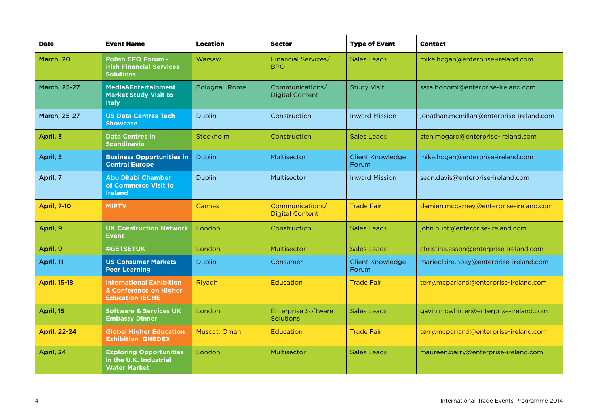| <b>Date</b>         | <b>Event Name</b>                                                                   | <b>Location</b> | <b>Sector</b>                             | <b>Type of Event</b>             | <b>Contact</b>                           |
|---------------------|-------------------------------------------------------------------------------------|-----------------|-------------------------------------------|----------------------------------|------------------------------------------|
| March, 20           | <b>Polish CFO Forum -</b><br><b>Irish Financial Services</b><br><b>Solutions</b>    | Warsaw          | <b>Financial Services/</b><br><b>BPO</b>  | <b>Sales Leads</b>               | mike.hogan@enterprise-ireland.com        |
| <b>March, 25-27</b> | Media&Entertainment<br><b>Market Study Visit to</b><br><b>Italy</b>                 | Bologna, Rome   | Communications/<br><b>Digital Content</b> | <b>Study Visit</b>               | sara.bonomi@enterprise-ireland.com       |
| March, 25-27        | <b>US Data Centres Tech</b><br><b>Showcase</b>                                      | <b>Dublin</b>   | Construction                              | <b>Inward Mission</b>            | jonathan.mcmillan@enterprise-ireland.com |
| April, 3            | <b>Data Centres in</b><br><b>Scandinavia</b>                                        | Stockholm       | Construction                              | <b>Sales Leads</b>               | sten.mogard@enterprise-ireland.com       |
| April, 3            | <b>Business Opportunities in</b><br><b>Central Europe</b>                           | <b>Dublin</b>   | Multisector                               | <b>Client Knowledge</b><br>Forum | mike.hogan@enterprise-ireland.com        |
| April, 7            | <b>Abu Dhabi Chamber</b><br>of Commerce Visit to<br><b>Ireland</b>                  | <b>Dublin</b>   | Multisector                               | <b>Inward Mission</b>            | sean.davis@enterprise-ireland.com        |
| <b>April, 7-10</b>  | <b>MIPTV</b>                                                                        | Cannes          | Communications/<br><b>Digital Content</b> | <b>Trade Fair</b>                | damien.mccarney@enterprise-ireland.com   |
| April, 9            | <b>UK Construction Network</b><br><b>Event</b>                                      | London          | Construction                              | <b>Sales Leads</b>               | john.hunt@enterprise-ireland.com         |
| April, 9            | <b>#GETSETUK</b>                                                                    | London          | Multisector                               | <b>Sales Leads</b>               | christine.esson@enterprise-ireland.com   |
| April, 11           | <b>US Consumer Markets</b><br><b>Peer Learning</b>                                  | <b>Dublin</b>   | Consumer                                  | <b>Client Knowledge</b><br>Forum | marieclaire.hoey@enterprise-ireland.com  |
| <b>April, 15-18</b> | <b>International Exhibition</b><br>& Conference on Higher<br><b>Education IECHE</b> | Riyadh          | Education                                 | <b>Trade Fair</b>                | terry.mcparland@enterprise-ireland.com   |
| April, 15           | <b>Software &amp; Services UK</b><br><b>Embassy Dinner</b>                          | London          | <b>Enterprise Software</b><br>Solutions   | <b>Sales Leads</b>               | gavin.mcwhirter@enterprise-ireland.com   |
| <b>April, 22-24</b> | <b>Global Higher Education</b><br><b>Exhibition GHEDEX</b>                          | Muscat; Oman    | Education                                 | <b>Trade Fair</b>                | terry.mcparland@enterprise-ireland.com   |
| April, 24           | <b>Exploring Opportunities</b><br>in the U.K. Industrial<br><b>Water Market</b>     | London          | Multisector                               | <b>Sales Leads</b>               | maureen.barry@enterprise-ireland.com     |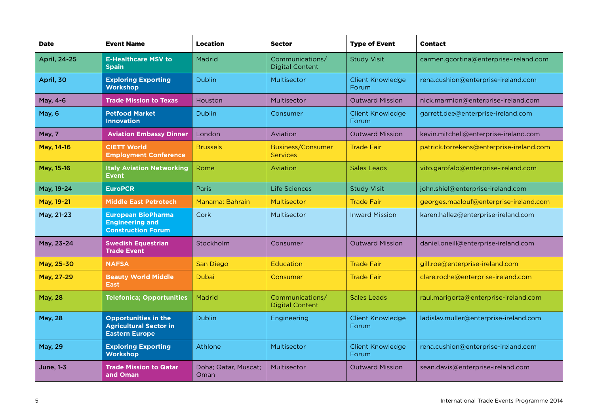| <b>Date</b>      | <b>Event Name</b>                                                                     | <b>Location</b>              | <b>Sector</b>                             | <b>Type of Event</b>             | <b>Contact</b>                           |
|------------------|---------------------------------------------------------------------------------------|------------------------------|-------------------------------------------|----------------------------------|------------------------------------------|
| April, 24-25     | <b>E-Healthcare MSV to</b><br><b>Spain</b>                                            | Madrid                       | Communications/<br><b>Digital Content</b> | <b>Study Visit</b>               | carmen.gcortina@enterprise-ireland.com   |
| April, 30        | <b>Exploring Exporting</b><br><b>Workshop</b>                                         | <b>Dublin</b>                | Multisector                               | <b>Client Knowledge</b><br>Forum | rena.cushion@enterprise-ireland.com      |
| May, 4-6         | <b>Trade Mission to Texas</b>                                                         | Houston                      | Multisector                               | <b>Outward Mission</b>           | nick.marmion@enterprise-ireland.com      |
| May, 6           | <b>Petfood Market</b><br><b>Innovation</b>                                            | <b>Dublin</b>                | Consumer                                  | <b>Client Knowledge</b><br>Forum | garrett.dee@enterprise-ireland.com       |
| <b>May, 7</b>    | <b>Aviation Embassy Dinner</b>                                                        | London                       | Aviation                                  | <b>Outward Mission</b>           | kevin.mitchell@enterprise-ireland.com    |
| May, 14-16       | <b>CIETT World</b><br><b>Employment Conference</b>                                    | <b>Brussels</b>              | Business/Consumer<br><b>Services</b>      | <b>Trade Fair</b>                | patrick.torrekens@enterprise-ireland.com |
| May, 15-16       | <b>Italy Aviation Networking</b><br><b>Event</b>                                      | Rome                         | Aviation                                  | Sales Leads                      | vito.garofalo@enterprise-ireland.com     |
| May, 19-24       | <b>EuroPCR</b>                                                                        | Paris                        | Life Sciences                             | <b>Study Visit</b>               | john.shiel@enterprise-ireland.com        |
| May, 19-21       | <b>Middle East Petrotech</b>                                                          | Manama: Bahrain              | Multisector                               | <b>Trade Fair</b>                | georges.maalouf@enterprise-ireland.com   |
| May, 21-23       | <b>European BioPharma</b><br><b>Engineering and</b><br><b>Construction Forum</b>      | Cork                         | Multisector                               | <b>Inward Mission</b>            | karen.hallez@enterprise-ireland.com      |
| May, 23-24       | <b>Swedish Equestrian</b><br><b>Trade Event</b>                                       | Stockholm                    | Consumer                                  | <b>Outward Mission</b>           | daniel.oneill@enterprise-ireland.com     |
| May, 25-30       | <b>NAFSA</b>                                                                          | San Diego                    | Education                                 | <b>Trade Fair</b>                | gill.roe@enterprise-ireland.com          |
| May, 27-29       | <b>Beauty World Middle</b><br><b>East</b>                                             | <b>Dubai</b>                 | Consumer                                  | <b>Trade Fair</b>                | clare.roche@enterprise-ireland.com       |
| <b>May, 28</b>   | <b>Telefonica; Opportunities</b>                                                      | Madrid                       | Communications/<br><b>Digital Content</b> | <b>Sales Leads</b>               | raul.marigorta@enterprise-ireland.com    |
| <b>May, 28</b>   | <b>Opportunities in the</b><br><b>Agricultural Sector in</b><br><b>Eastern Europe</b> | <b>Dublin</b>                | Engineering                               | <b>Client Knowledge</b><br>Forum | ladislav.muller@enterprise-ireland.com   |
| <b>May, 29</b>   | <b>Exploring Exporting</b><br><b>Workshop</b>                                         | Athlone                      | Multisector                               | <b>Client Knowledge</b><br>Forum | rena.cushion@enterprise-ireland.com      |
| <b>June, 1-3</b> | <b>Trade Mission to Qatar</b><br>and Oman                                             | Doha; Qatar, Muscat;<br>Oman | Multisector                               | <b>Outward Mission</b>           | sean.davis@enterprise-ireland.com        |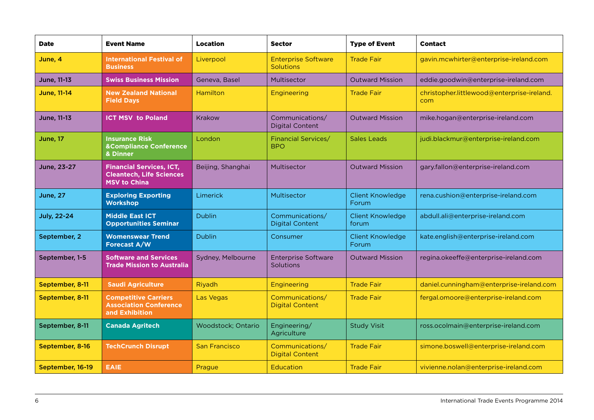| <b>Date</b>        | <b>Event Name</b>                                                                         | <b>Location</b>      | <b>Sector</b>                                  | <b>Type of Event</b>             | <b>Contact</b>                                    |
|--------------------|-------------------------------------------------------------------------------------------|----------------------|------------------------------------------------|----------------------------------|---------------------------------------------------|
| June, 4            | <b>International Festival of</b><br><b>Business</b>                                       | Liverpool            | <b>Enterprise Software</b><br><b>Solutions</b> | <b>Trade Fair</b>                | gavin.mcwhirter@enterprise-ireland.com            |
| June, 11-13        | <b>Swiss Business Mission</b>                                                             | Geneva, Basel        | Multisector                                    | <b>Outward Mission</b>           | eddie.goodwin@enterprise-ireland.com              |
| <b>June, 11-14</b> | <b>New Zealand National</b><br><b>Field Days</b>                                          | Hamilton             | <b>Engineering</b>                             | <b>Trade Fair</b>                | christopher.littlewood@enterprise-ireland.<br>com |
| <b>June, 11-13</b> | <b>ICT MSV</b> to Poland                                                                  | Krakow               | Communications/<br><b>Digital Content</b>      | <b>Outward Mission</b>           | mike.hogan@enterprise-ireland.com                 |
| <b>June</b> , 17   | <b>Insurance Risk</b><br><b>&amp;Compliance Conference</b><br>& Dinner                    | London               | Financial Services/<br><b>BPO</b>              | Sales Leads                      | judi.blackmur@enterprise-ireland.com              |
| <b>June, 23-27</b> | <b>Financial Services, ICT,</b><br><b>Cleantech, Life Sciences</b><br><b>MSV to China</b> | Beijing, Shanghai    | Multisector                                    | <b>Outward Mission</b>           | gary.fallon@enterprise-ireland.com                |
| <b>June, 27</b>    | <b>Exploring Exporting</b><br><b>Workshop</b>                                             | Limerick             | Multisector                                    | <b>Client Knowledge</b><br>Forum | rena.cushion@enterprise-ireland.com               |
| <b>July, 22-24</b> | <b>Middle East ICT</b><br><b>Opportunities Seminar</b>                                    | <b>Dublin</b>        | Communications/<br><b>Digital Content</b>      | <b>Client Knowledge</b><br>forum | abdull.ali@enterprise-ireland.com                 |
| September, 2       | <b>Womenswear Trend</b><br>Forecast A/W                                                   | <b>Dublin</b>        | Consumer                                       | <b>Client Knowledge</b><br>Forum | kate.english@enterprise-ireland.com               |
| September, 1-5     | <b>Software and Services</b><br><b>Trade Mission to Australia</b>                         | Sydney, Melbourne    | <b>Enterprise Software</b><br><b>Solutions</b> | <b>Outward Mission</b>           | regina.okeeffe@enterprise-ireland.com             |
| September, 8-11    | <b>Saudi Agriculture</b>                                                                  | Riyadh               | Engineering                                    | <b>Trade Fair</b>                | daniel.cunningham@enterprise-ireland.com          |
| September, 8-11    | <b>Competitive Carriers</b><br><b>Association Conference</b><br>and Exhibition            | <b>Las Vegas</b>     | Communications/<br><b>Digital Content</b>      | <b>Trade Fair</b>                | fergal.omoore@enterprise-ireland.com              |
| September, 8-11    | <b>Canada Agritech</b>                                                                    | Woodstock; Ontario   | Engineering/<br>Agriculture                    | <b>Study Visit</b>               | ross.ocolmain@enterprise-ireland.com              |
| September, 8-16    | <b>TechCrunch Disrupt</b>                                                                 | <b>San Francisco</b> | Communications/<br><b>Digital Content</b>      | <b>Trade Fair</b>                | simone.boswell@enterprise-ireland.com             |
| September, 16-19   | <b>EAIE</b>                                                                               | Prague               | <b>Education</b>                               | <b>Trade Fair</b>                | vivienne.nolan@enterprise-ireland.com             |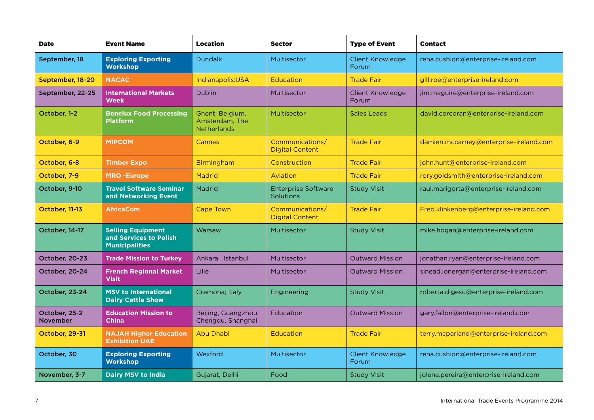| <b>Date</b>                      | <b>Event Name</b>                                                           | <b>Location</b>                                         | <b>Sector</b>                             | <b>Type of Event</b>             | <b>Contact</b>                          |
|----------------------------------|-----------------------------------------------------------------------------|---------------------------------------------------------|-------------------------------------------|----------------------------------|-----------------------------------------|
| September, 18                    | <b>Exploring Exporting</b><br><b>Workshop</b>                               | <b>Dundalk</b>                                          | Multisector                               | <b>Client Knowledge</b><br>Forum | rena.cushion@enterprise-ireland.com     |
| September, 18-20                 | <b>NACAC</b>                                                                | Indianapolis:USA                                        | <b>Education</b>                          | <b>Trade Fair</b>                | gill.roe@enterprise-ireland.com         |
| September, 22-25                 | <b>International Markets</b><br><b>Week</b>                                 | <b>Dublin</b>                                           | Multisector                               | <b>Client Knowledge</b><br>Forum | jim.maguire@enterprise-ireland.com      |
| October, 1-2                     | <b>Benelux Food Processing</b><br><b>Platform</b>                           | Ghent; Belgium,<br>Amsterdam, The<br><b>Netherlands</b> | Multisector                               | Sales Leads                      | david.corcoran@enterprise-ireland.com   |
| October, 6-9                     | <b>MIPCOM</b>                                                               | Cannes                                                  | Communications/<br><b>Digital Content</b> | <b>Trade Fair</b>                | damien.mccarney@enterprise-ireland.com  |
| October, 6-8                     | <b>Timber Expo</b>                                                          | <b>Birmingham</b>                                       | Construction                              | <b>Trade Fair</b>                | john.hunt@enterprise-ireland.com        |
| October, 7-9                     | <b>MRO -Europe</b>                                                          | <b>Madrid</b>                                           | Aviation                                  | <b>Trade Fair</b>                | rory.goldsmith@enterprise-ireland.com   |
| October, 9-10                    | <b>Travel Software Seminar</b><br>and Networking Event                      | Madrid                                                  | <b>Enterprise Software</b><br>Solutions   | <b>Study Visit</b>               | raul.marigorta@enterprise-ireland.com   |
| October, 11-13                   | <b>AfricaCom</b>                                                            | <b>Cape Town</b>                                        | Communications/<br><b>Digital Content</b> | <b>Trade Fair</b>                | Fred.klinkenberg@enterprise-ireland.com |
| October, 14-17                   | <b>Selling Equipment</b><br>and Services to Polish<br><b>Municipalities</b> | Warsaw                                                  | Multisector                               | <b>Study Visit</b>               | mike.hogan@enterprise-ireland.com       |
| October, 20-23                   | <b>Trade Mission to Turkey</b>                                              | Ankara, Istanbul                                        | Multisector                               | <b>Outward Mission</b>           | jonathan.ryan@enterprise-ireland.com    |
| October, 20-24                   | <b>French Regional Market</b><br><b>Visit</b>                               | Lille                                                   | Multisector                               | <b>Outward Mission</b>           | sinead.lonergan@enterprise-ireland.com  |
| October, 23-24                   | <b>MSV to International</b><br><b>Dairy Cattle Show</b>                     | Cremona; Italy                                          | Engineering                               | <b>Study Visit</b>               | roberta.digesu@enterprise-ireland.com   |
| October, 25-2<br><b>November</b> | <b>Education Mission to</b><br><b>China</b>                                 | Beijing, Guangzhou,<br>Chengdu, Shanghai                | Education                                 | <b>Outward Mission</b>           | gary.fallon@enterprise-ireland.com      |
| October, 29-31                   | <b>NAJAH Higher Education</b><br><b>Exhibition UAE</b>                      | <b>Abu Dhabi</b>                                        | <b>Education</b>                          | <b>Trade Fair</b>                | terry.mcparland@enterprise-ireland.com  |
| October, 30                      | <b>Exploring Exporting</b><br>Workshop                                      | Wexford                                                 | Multisector                               | <b>Client Knowledge</b><br>Forum | rena.cushion@enterprise-ireland.com     |
| November, 3-7                    | <b>Dairy MSV to India</b>                                                   | Gujarat, Delhi                                          | Food                                      | <b>Study Visit</b>               | jolene.pereira@enterprise-ireland.com   |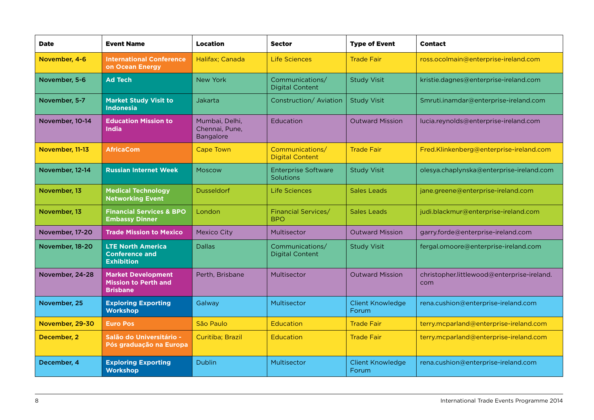| <b>Date</b>     | <b>Event Name</b>                                                           | <b>Location</b>                                      | <b>Sector</b>                             | <b>Type of Event</b>             | <b>Contact</b>                                    |
|-----------------|-----------------------------------------------------------------------------|------------------------------------------------------|-------------------------------------------|----------------------------------|---------------------------------------------------|
| November, 4-6   | <b>International Conference</b><br>on Ocean Energy                          | Halifax; Canada                                      | Life Sciences                             | <b>Trade Fair</b>                | ross.ocolmain@enterprise-ireland.com              |
| November, 5-6   | <b>Ad Tech</b>                                                              | <b>New York</b>                                      | Communications/<br><b>Digital Content</b> | <b>Study Visit</b>               | kristie.dagnes@enterprise-ireland.com             |
| November, 5-7   | <b>Market Study Visit to</b><br><b>Indonesia</b>                            | Jakarta                                              | Construction/Aviation                     | <b>Study Visit</b>               | Smruti.inamdar@enterprise-ireland.com             |
| November, 10-14 | <b>Education Mission to</b><br><b>India</b>                                 | Mumbai, Delhi,<br>Chennai, Pune,<br><b>Bangalore</b> | Education                                 | <b>Outward Mission</b>           | lucia.reynolds@enterprise-ireland.com             |
| November, 11-13 | <b>AfricaCom</b>                                                            | <b>Cape Town</b>                                     | Communications/<br><b>Digital Content</b> | <b>Trade Fair</b>                | Fred.Klinkenberg@enterprise-ireland.com           |
| November, 12-14 | <b>Russian Internet Week</b>                                                | Moscow                                               | <b>Enterprise Software</b><br>Solutions   | <b>Study Visit</b>               | olesya.chaplynska@enterprise-ireland.com          |
| November, 13    | <b>Medical Technology</b><br><b>Networking Event</b>                        | <b>Dusseldorf</b>                                    | Life Sciences                             | <b>Sales Leads</b>               | jane.greene@enterprise-ireland.com                |
| November, 13    | <b>Financial Services &amp; BPO</b><br><b>Embassy Dinner</b>                | London                                               | Financial Services/<br><b>BPO</b>         | Sales Leads                      | judi.blackmur@enterprise-ireland.com              |
| November, 17-20 | <b>Trade Mission to Mexico</b>                                              | <b>Mexico City</b>                                   | Multisector                               | <b>Outward Mission</b>           | garry.forde@enterprise-ireland.com                |
| November, 18-20 | <b>LTE North America</b><br><b>Conference and</b><br><b>Exhibition</b>      | <b>Dallas</b>                                        | Communications/<br><b>Digital Content</b> | <b>Study Visit</b>               | fergal.omoore@enterprise-ireland.com              |
| November, 24-28 | <b>Market Development</b><br><b>Mission to Perth and</b><br><b>Brisbane</b> | Perth, Brisbane                                      | Multisector                               | <b>Outward Mission</b>           | christopher.littlewood@enterprise-ireland.<br>com |
| November, 25    | <b>Exploring Exporting</b><br><b>Workshop</b>                               | Galway                                               | Multisector                               | <b>Client Knowledge</b><br>Forum | rena.cushion@enterprise-ireland.com               |
| November, 29-30 | <b>Euro Pos</b>                                                             | São Paulo                                            | Education                                 | <b>Trade Fair</b>                | terry.mcparland@enterprise-ireland.com            |
| December, 2     | Salão do Universitário -<br>Pós graduação na Europa                         | Curitiba; Brazil                                     | Education                                 | <b>Trade Fair</b>                | terry.mcparland@enterprise-ireland.com            |
| December, 4     | <b>Exploring Exporting</b><br><b>Workshop</b>                               | <b>Dublin</b>                                        | Multisector                               | <b>Client Knowledge</b><br>Forum | rena.cushion@enterprise-ireland.com               |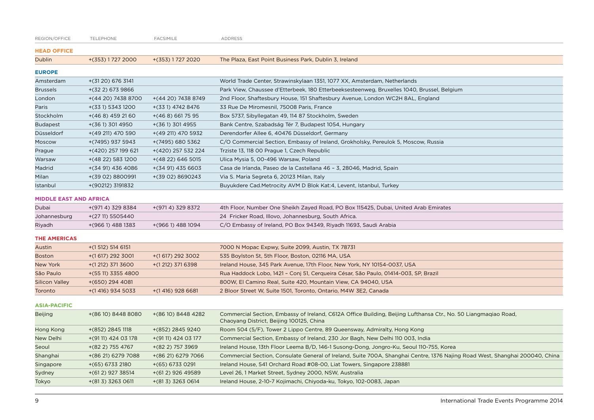| REGION/OFFICE                 | TELEPHONE           | <b>FACSIMILE</b>    | <b>ADDRESS</b>                                                                                                                                              |
|-------------------------------|---------------------|---------------------|-------------------------------------------------------------------------------------------------------------------------------------------------------------|
| <b>HEAD OFFICE</b>            |                     |                     |                                                                                                                                                             |
| <b>Dublin</b>                 | $+(353)$ 1 727 2000 | +(353) 1727 2020    | The Plaza, East Point Business Park, Dublin 3, Ireland                                                                                                      |
| <b>EUROPE</b>                 |                     |                     |                                                                                                                                                             |
| Amsterdam                     | $+(3120)$ 676 3141  |                     | World Trade Center, Strawinskylaan 1351, 1077 XX, Amsterdam, Netherlands                                                                                    |
| <b>Brussels</b>               | +(32 2) 673 9866    |                     | Park View, Chaussee d'Etterbeek, 180 Etterbeeksesteenweg, Bruxelles 1040, Brussel, Belgium                                                                  |
| London                        | +(44 20) 7438 8700  | +(44 20) 7438 8749  | 2nd Floor, Shaftesbury House, 151 Shaftesbury Avenue, London WC2H 8AL, England                                                                              |
| Paris                         | +(33 1) 5343 1200   | +(33 1) 4742 8476   | 33 Rue De Miromesnil, 75008 Paris, France                                                                                                                   |
| Stockholm                     | $+(468)$ 459 2160   | $+(468)6617595$     | Box 5737, Sibyllegatan 49, 114 87 Stockholm, Sweden                                                                                                         |
| <b>Budapest</b>               | $+(361)$ 301 4950   | $+(361)$ 301 4955   | Bank Centre, Szabadság Tér 7, Budapest 1054, Hungary                                                                                                        |
| Düsseldorf                    | +(49 211) 470 590   | +(49 211) 470 5932  | Derendorfer Allee 6, 40476 Düsseldorf, Germany                                                                                                              |
| Moscow                        | +(7495) 937 5943    | +(7495) 680 5362    | C/O Commercial Section, Embassy of Ireland, Grokholsky, Pereulok 5, Moscow, Russia                                                                          |
| Prague                        | +(420) 257 199 621  | +(420) 257 532 224  | Trziste 13, 118 00 Prague 1, Czech Republic                                                                                                                 |
| Warsaw                        | $+(4822)$ 583 1200  | $+(4822)$ 646 5015  | Ulica Mysia 5, 00-496 Warsaw, Poland                                                                                                                        |
| Madrid                        | +(34 91) 436 4086   | $+(3491)$ 435 6603  | Casa de Irlanda, Paseo de la Castellana 46 - 3, 28046, Madrid, Spain                                                                                        |
| Milan                         | +(39 02) 8800991    | +(39 02) 8690243    | Via S. Maria Segreta 6, 20123 Milan, Italy                                                                                                                  |
| Istanbul                      | +(90212) 3191832    |                     | Buyukdere Cad.Metrocity AVM D Blok Kat:4, Levent, Istanbul, Turkey                                                                                          |
| <b>MIDDLE EAST AND AFRICA</b> |                     |                     |                                                                                                                                                             |
| Dubai                         | +(9714) 329 8384    | +(9714) 329 8372    | 4th Floor, Number One Sheikh Zayed Road, PO Box 115425, Dubai, United Arab Emirates                                                                         |
| Johannesburg                  | $+(2711) 5505440$   |                     | 24 Fricker Road, Illovo, Johannesburg, South Africa.                                                                                                        |
| Riyadh                        | +(966 1) 488 1383   | +(9661) 488 1094    | C/O Embassy of Ireland, PO Box 94349, Riyadh 11693, Saudi Arabia                                                                                            |
| <b>THE AMERICAS</b>           |                     |                     |                                                                                                                                                             |
| Austin                        | $+(1512)$ 514 6151  |                     | 7000 N Mopac Expwy, Suite 2099, Austin, TX 78731                                                                                                            |
| <b>Boston</b>                 | $+(1617)$ 292 3001  | $+(1617)$ 292 3002  | 535 Boylston St, 5th Floor, Boston, 02116 MA, USA                                                                                                           |
| New York                      | $+(1 212)$ 371 3600 | $+(1212)$ 371 6398  | Ireland House, 345 Park Avenue, 17th Floor, New York, NY 10154-0037, USA                                                                                    |
| São Paulo                     | $+(5511)$ 3355 4800 |                     | Rua Haddock Lobo, 1421 - Conj 51, Cerqueira César, São Paulo, 01414-003, SP, Brazil                                                                         |
| <b>Silicon Valley</b>         | $+(650)$ 294 4081   |                     | 800W, El Camino Real, Suite 420, Mountain View, CA 94040, USA                                                                                               |
| Toronto                       | $+(1416)$ 934 5033  | $+(1416)$ 928 6681  | 2 Bloor Street W, Suite 1501, Toronto, Ontario, M4W 3E2, Canada                                                                                             |
| <b>ASIA-PACIFIC</b>           |                     |                     |                                                                                                                                                             |
| <b>Beijing</b>                | +(86 10) 8448 8080  | +(86 10) 8448 4282  | Commercial Section, Embassy of Ireland, C612A Office Building, Beijing Lufthansa Ctr., No. 50 Liangmaqiao Road,<br>Chaoyang District, Beijing 100125, China |
| Hong Kong                     | +(852) 2845 1118    | +(852) 2845 9240    | Room 504 (5/F), Tower 2 Lippo Centre, 89 Queensway, Admiralty, Hong Kong                                                                                    |
| New Delhi                     | +(91 11) 424 03 178 | +(91 11) 424 03 177 | Commercial Section, Embassy of Ireland, 230 Jor Bagh, New Delhi 110 003, India                                                                              |
| Seoul                         | +(82 2) 755 4767    | $+(822)$ 757 3969   | Ireland House, 13th Floor Leema B/D, 146-1 Susong-Dong, Jongro-Ku, Seoul 110-755, Korea                                                                     |
| Shanghai                      | +(86 21) 6279 7088  | +(86 21) 6279 7066  | Commercial Section, Consulate General of Ireland, Suite 700A, Shanghai Centre, 1376 Najing Road West, Shanghai 200040, China                                |
| Singapore                     | $+(65)$ 6733 2180   | $+(65)$ 6733 0291   | Ireland House, 541 Orchard Road #08-00, Liat Towers, Singapore 238881                                                                                       |
| Sydney                        | $+(612)$ 927 38514  | $+(612)$ 926 49589  | Level 26, 1 Market Street, Sydney 2000, NSW, Australia                                                                                                      |
| Tokyo                         | $+(813)$ 3263 0611  | $+(813)$ 3263 0614  | Ireland House, 2-10-7 Kojimachi, Chiyoda-ku, Tokyo, 102-0083, Japan                                                                                         |